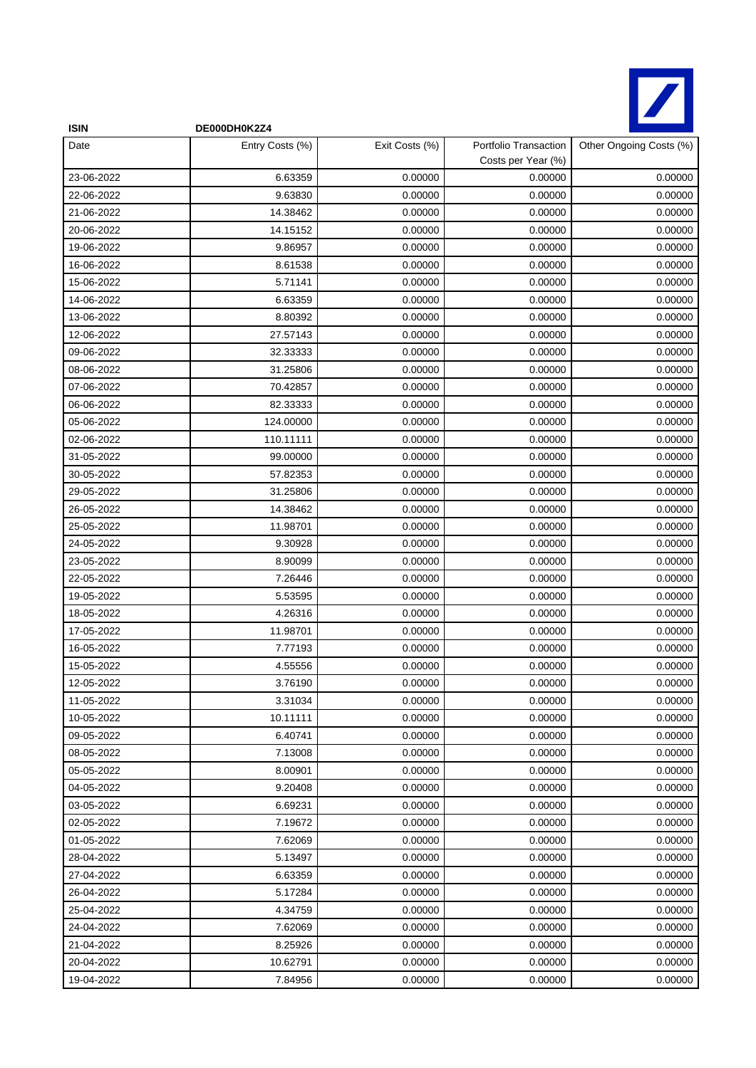

| <b>ISIN</b> | DE000DH0K2Z4    |                |                                             |                         |
|-------------|-----------------|----------------|---------------------------------------------|-------------------------|
| Date        | Entry Costs (%) | Exit Costs (%) | Portfolio Transaction<br>Costs per Year (%) | Other Ongoing Costs (%) |
| 23-06-2022  | 6.63359         | 0.00000        | 0.00000                                     | 0.00000                 |
| 22-06-2022  | 9.63830         | 0.00000        | 0.00000                                     | 0.00000                 |
| 21-06-2022  | 14.38462        | 0.00000        | 0.00000                                     | 0.00000                 |
| 20-06-2022  | 14.15152        | 0.00000        | 0.00000                                     | 0.00000                 |
| 19-06-2022  | 9.86957         | 0.00000        | 0.00000                                     | 0.00000                 |
| 16-06-2022  | 8.61538         | 0.00000        | 0.00000                                     | 0.00000                 |
| 15-06-2022  | 5.71141         | 0.00000        | 0.00000                                     | 0.00000                 |
| 14-06-2022  | 6.63359         | 0.00000        | 0.00000                                     | 0.00000                 |
| 13-06-2022  | 8.80392         | 0.00000        | 0.00000                                     | 0.00000                 |
| 12-06-2022  | 27.57143        | 0.00000        | 0.00000                                     | 0.00000                 |
| 09-06-2022  | 32.33333        | 0.00000        | 0.00000                                     | 0.00000                 |
| 08-06-2022  | 31.25806        | 0.00000        | 0.00000                                     | 0.00000                 |
| 07-06-2022  | 70.42857        | 0.00000        | 0.00000                                     | 0.00000                 |
| 06-06-2022  | 82.33333        | 0.00000        | 0.00000                                     | 0.00000                 |
| 05-06-2022  | 124.00000       | 0.00000        | 0.00000                                     | 0.00000                 |
| 02-06-2022  | 110.11111       | 0.00000        | 0.00000                                     | 0.00000                 |
| 31-05-2022  | 99.00000        | 0.00000        | 0.00000                                     | 0.00000                 |
| 30-05-2022  | 57.82353        | 0.00000        | 0.00000                                     | 0.00000                 |
| 29-05-2022  | 31.25806        | 0.00000        | 0.00000                                     | 0.00000                 |
| 26-05-2022  | 14.38462        | 0.00000        | 0.00000                                     | 0.00000                 |
| 25-05-2022  | 11.98701        | 0.00000        | 0.00000                                     | 0.00000                 |
| 24-05-2022  | 9.30928         | 0.00000        | 0.00000                                     | 0.00000                 |
| 23-05-2022  | 8.90099         | 0.00000        | 0.00000                                     | 0.00000                 |
| 22-05-2022  | 7.26446         | 0.00000        | 0.00000                                     | 0.00000                 |
| 19-05-2022  | 5.53595         | 0.00000        | 0.00000                                     | 0.00000                 |
| 18-05-2022  | 4.26316         | 0.00000        | 0.00000                                     | 0.00000                 |
| 17-05-2022  | 11.98701        | 0.00000        | 0.00000                                     | 0.00000                 |
| 16-05-2022  | 7.77193         | 0.00000        | 0.00000                                     | 0.00000                 |
| 15-05-2022  | 4.55556         | 0.00000        | 0.00000                                     | 0.00000                 |
| 12-05-2022  | 3.76190         | 0.00000        | 0.00000                                     | 0.00000                 |
| 11-05-2022  | 3.31034         | 0.00000        | 0.00000                                     | 0.00000                 |
| 10-05-2022  | 10.11111        | 0.00000        | 0.00000                                     | 0.00000                 |
| 09-05-2022  | 6.40741         | 0.00000        | 0.00000                                     | 0.00000                 |
| 08-05-2022  | 7.13008         | 0.00000        | 0.00000                                     | 0.00000                 |
| 05-05-2022  | 8.00901         | 0.00000        | 0.00000                                     | 0.00000                 |
| 04-05-2022  | 9.20408         | 0.00000        | 0.00000                                     | 0.00000                 |
| 03-05-2022  | 6.69231         | 0.00000        | 0.00000                                     | 0.00000                 |
| 02-05-2022  | 7.19672         | 0.00000        | 0.00000                                     | 0.00000                 |
| 01-05-2022  | 7.62069         | 0.00000        | 0.00000                                     | 0.00000                 |
| 28-04-2022  | 5.13497         | 0.00000        | 0.00000                                     | 0.00000                 |
| 27-04-2022  | 6.63359         | 0.00000        | 0.00000                                     | 0.00000                 |
| 26-04-2022  | 5.17284         | 0.00000        | 0.00000                                     | 0.00000                 |
| 25-04-2022  | 4.34759         | 0.00000        | 0.00000                                     | 0.00000                 |
| 24-04-2022  | 7.62069         | 0.00000        | 0.00000                                     | 0.00000                 |
| 21-04-2022  | 8.25926         | 0.00000        | 0.00000                                     | 0.00000                 |
| 20-04-2022  | 10.62791        | 0.00000        | 0.00000                                     | 0.00000                 |
| 19-04-2022  | 7.84956         | 0.00000        | 0.00000                                     | 0.00000                 |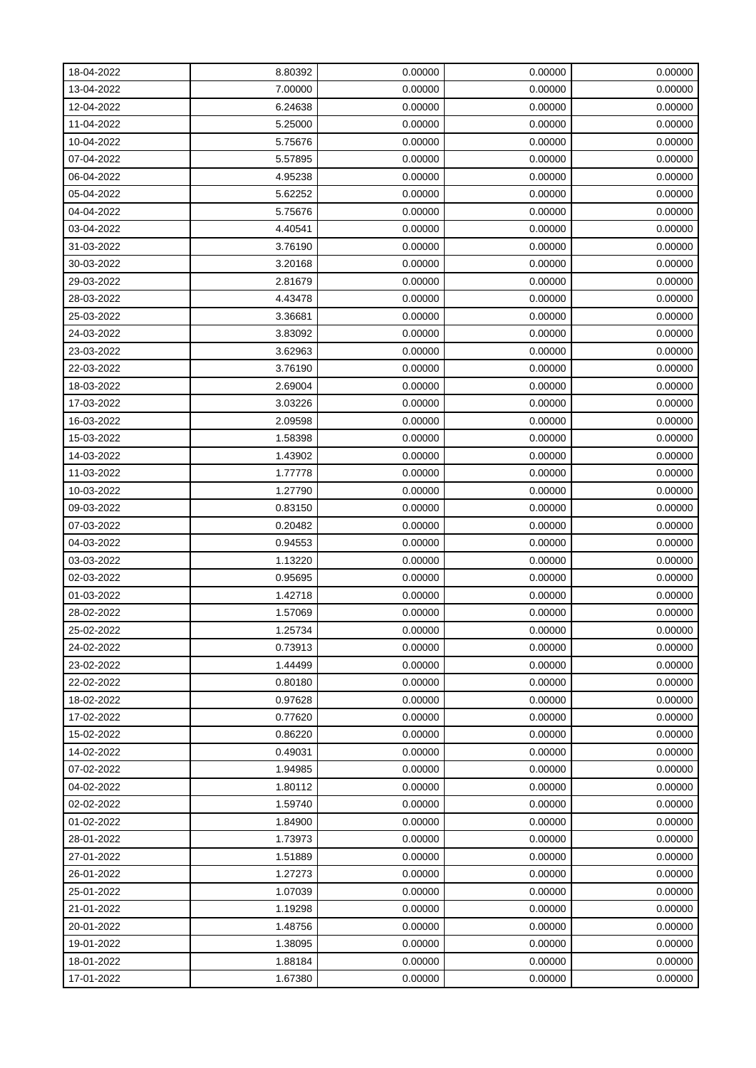| 18-04-2022 | 8.80392 | 0.00000 | 0.00000 | 0.00000 |
|------------|---------|---------|---------|---------|
| 13-04-2022 | 7.00000 | 0.00000 | 0.00000 | 0.00000 |
| 12-04-2022 | 6.24638 | 0.00000 | 0.00000 | 0.00000 |
| 11-04-2022 | 5.25000 | 0.00000 | 0.00000 | 0.00000 |
| 10-04-2022 | 5.75676 | 0.00000 | 0.00000 | 0.00000 |
| 07-04-2022 | 5.57895 | 0.00000 | 0.00000 | 0.00000 |
| 06-04-2022 | 4.95238 | 0.00000 | 0.00000 | 0.00000 |
| 05-04-2022 | 5.62252 | 0.00000 | 0.00000 | 0.00000 |
| 04-04-2022 | 5.75676 | 0.00000 | 0.00000 | 0.00000 |
| 03-04-2022 | 4.40541 | 0.00000 | 0.00000 | 0.00000 |
| 31-03-2022 | 3.76190 | 0.00000 | 0.00000 | 0.00000 |
| 30-03-2022 | 3.20168 | 0.00000 | 0.00000 | 0.00000 |
| 29-03-2022 | 2.81679 | 0.00000 | 0.00000 | 0.00000 |
| 28-03-2022 | 4.43478 | 0.00000 | 0.00000 | 0.00000 |
| 25-03-2022 | 3.36681 | 0.00000 | 0.00000 | 0.00000 |
| 24-03-2022 | 3.83092 | 0.00000 | 0.00000 | 0.00000 |
| 23-03-2022 | 3.62963 | 0.00000 | 0.00000 | 0.00000 |
| 22-03-2022 | 3.76190 | 0.00000 | 0.00000 | 0.00000 |
| 18-03-2022 | 2.69004 | 0.00000 | 0.00000 | 0.00000 |
| 17-03-2022 | 3.03226 | 0.00000 | 0.00000 | 0.00000 |
| 16-03-2022 | 2.09598 | 0.00000 | 0.00000 | 0.00000 |
| 15-03-2022 | 1.58398 | 0.00000 | 0.00000 | 0.00000 |
| 14-03-2022 | 1.43902 | 0.00000 | 0.00000 | 0.00000 |
| 11-03-2022 | 1.77778 | 0.00000 | 0.00000 | 0.00000 |
| 10-03-2022 | 1.27790 | 0.00000 | 0.00000 | 0.00000 |
| 09-03-2022 | 0.83150 | 0.00000 | 0.00000 | 0.00000 |
| 07-03-2022 | 0.20482 | 0.00000 | 0.00000 | 0.00000 |
| 04-03-2022 | 0.94553 | 0.00000 | 0.00000 | 0.00000 |
| 03-03-2022 | 1.13220 | 0.00000 | 0.00000 | 0.00000 |
| 02-03-2022 | 0.95695 | 0.00000 | 0.00000 | 0.00000 |
| 01-03-2022 | 1.42718 | 0.00000 | 0.00000 | 0.00000 |
| 28-02-2022 | 1.57069 | 0.00000 | 0.00000 | 0.00000 |
| 25-02-2022 | 1.25734 | 0.00000 | 0.00000 | 0.00000 |
| 24-02-2022 | 0.73913 | 0.00000 | 0.00000 | 0.00000 |
| 23-02-2022 | 1.44499 | 0.00000 | 0.00000 | 0.00000 |
| 22-02-2022 | 0.80180 | 0.00000 | 0.00000 | 0.00000 |
| 18-02-2022 | 0.97628 | 0.00000 | 0.00000 | 0.00000 |
| 17-02-2022 | 0.77620 | 0.00000 | 0.00000 | 0.00000 |
| 15-02-2022 | 0.86220 | 0.00000 | 0.00000 | 0.00000 |
| 14-02-2022 | 0.49031 | 0.00000 | 0.00000 | 0.00000 |
| 07-02-2022 | 1.94985 | 0.00000 | 0.00000 | 0.00000 |
| 04-02-2022 | 1.80112 | 0.00000 | 0.00000 | 0.00000 |
| 02-02-2022 | 1.59740 | 0.00000 | 0.00000 | 0.00000 |
| 01-02-2022 | 1.84900 | 0.00000 | 0.00000 | 0.00000 |
| 28-01-2022 | 1.73973 | 0.00000 | 0.00000 | 0.00000 |
| 27-01-2022 | 1.51889 | 0.00000 | 0.00000 | 0.00000 |
| 26-01-2022 | 1.27273 | 0.00000 | 0.00000 | 0.00000 |
| 25-01-2022 | 1.07039 | 0.00000 | 0.00000 | 0.00000 |
| 21-01-2022 | 1.19298 | 0.00000 | 0.00000 | 0.00000 |
| 20-01-2022 | 1.48756 | 0.00000 | 0.00000 | 0.00000 |
| 19-01-2022 | 1.38095 | 0.00000 | 0.00000 | 0.00000 |
| 18-01-2022 | 1.88184 | 0.00000 | 0.00000 | 0.00000 |
| 17-01-2022 | 1.67380 | 0.00000 | 0.00000 | 0.00000 |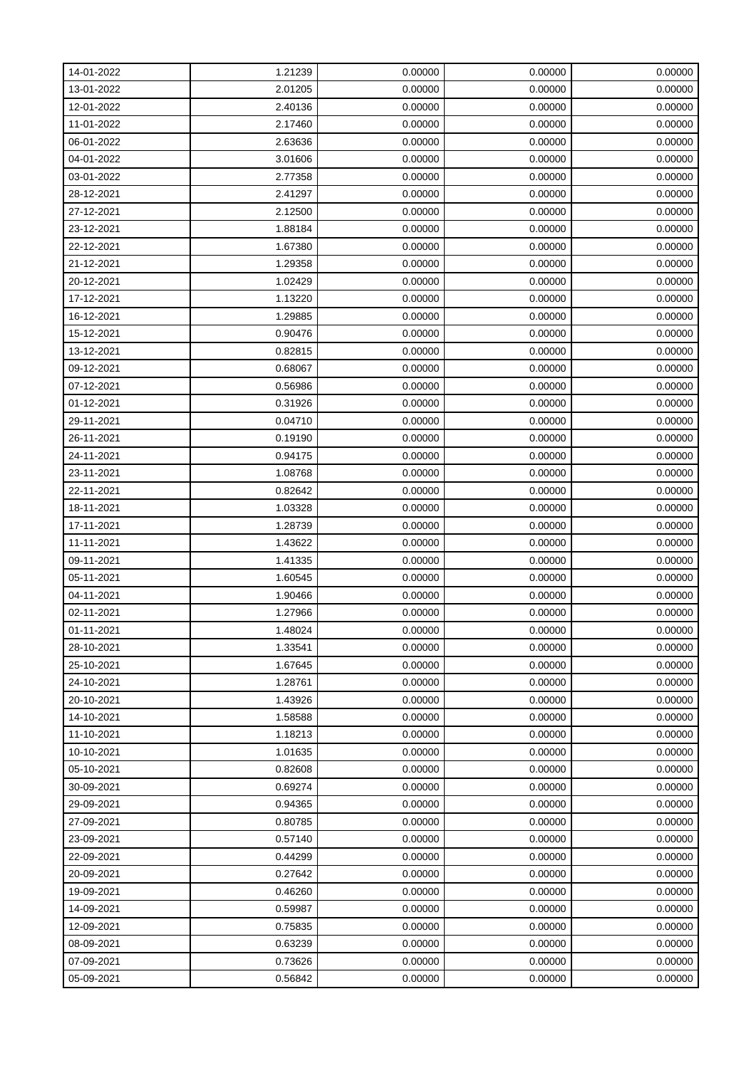| 14-01-2022 | 1.21239 | 0.00000 | 0.00000 | 0.00000 |
|------------|---------|---------|---------|---------|
| 13-01-2022 | 2.01205 | 0.00000 | 0.00000 | 0.00000 |
| 12-01-2022 | 2.40136 | 0.00000 | 0.00000 | 0.00000 |
| 11-01-2022 | 2.17460 | 0.00000 | 0.00000 | 0.00000 |
| 06-01-2022 | 2.63636 | 0.00000 | 0.00000 | 0.00000 |
| 04-01-2022 | 3.01606 | 0.00000 | 0.00000 | 0.00000 |
| 03-01-2022 | 2.77358 | 0.00000 | 0.00000 | 0.00000 |
| 28-12-2021 | 2.41297 | 0.00000 | 0.00000 | 0.00000 |
| 27-12-2021 | 2.12500 | 0.00000 | 0.00000 | 0.00000 |
| 23-12-2021 | 1.88184 | 0.00000 | 0.00000 | 0.00000 |
| 22-12-2021 | 1.67380 | 0.00000 | 0.00000 | 0.00000 |
| 21-12-2021 | 1.29358 | 0.00000 | 0.00000 | 0.00000 |
| 20-12-2021 | 1.02429 | 0.00000 | 0.00000 | 0.00000 |
| 17-12-2021 | 1.13220 | 0.00000 | 0.00000 | 0.00000 |
| 16-12-2021 | 1.29885 | 0.00000 | 0.00000 | 0.00000 |
| 15-12-2021 | 0.90476 | 0.00000 | 0.00000 | 0.00000 |
| 13-12-2021 | 0.82815 | 0.00000 | 0.00000 | 0.00000 |
| 09-12-2021 | 0.68067 | 0.00000 | 0.00000 | 0.00000 |
| 07-12-2021 | 0.56986 | 0.00000 | 0.00000 | 0.00000 |
| 01-12-2021 | 0.31926 | 0.00000 | 0.00000 | 0.00000 |
| 29-11-2021 | 0.04710 | 0.00000 | 0.00000 | 0.00000 |
| 26-11-2021 | 0.19190 | 0.00000 | 0.00000 | 0.00000 |
| 24-11-2021 | 0.94175 | 0.00000 | 0.00000 | 0.00000 |
| 23-11-2021 | 1.08768 | 0.00000 | 0.00000 | 0.00000 |
| 22-11-2021 | 0.82642 | 0.00000 | 0.00000 | 0.00000 |
| 18-11-2021 | 1.03328 | 0.00000 | 0.00000 | 0.00000 |
| 17-11-2021 | 1.28739 | 0.00000 | 0.00000 | 0.00000 |
| 11-11-2021 | 1.43622 | 0.00000 | 0.00000 | 0.00000 |
| 09-11-2021 | 1.41335 | 0.00000 | 0.00000 | 0.00000 |
| 05-11-2021 | 1.60545 | 0.00000 | 0.00000 | 0.00000 |
| 04-11-2021 | 1.90466 | 0.00000 | 0.00000 | 0.00000 |
| 02-11-2021 | 1.27966 | 0.00000 | 0.00000 | 0.00000 |
| 01-11-2021 | 1.48024 | 0.00000 | 0.00000 | 0.00000 |
| 28-10-2021 | 1.33541 | 0.00000 | 0.00000 | 0.00000 |
| 25-10-2021 | 1.67645 | 0.00000 | 0.00000 | 0.00000 |
| 24-10-2021 | 1.28761 | 0.00000 | 0.00000 | 0.00000 |
| 20-10-2021 | 1.43926 | 0.00000 | 0.00000 | 0.00000 |
| 14-10-2021 | 1.58588 | 0.00000 | 0.00000 | 0.00000 |
| 11-10-2021 | 1.18213 | 0.00000 | 0.00000 | 0.00000 |
| 10-10-2021 | 1.01635 | 0.00000 | 0.00000 | 0.00000 |
| 05-10-2021 | 0.82608 | 0.00000 | 0.00000 | 0.00000 |
| 30-09-2021 | 0.69274 | 0.00000 | 0.00000 | 0.00000 |
| 29-09-2021 | 0.94365 | 0.00000 | 0.00000 | 0.00000 |
| 27-09-2021 | 0.80785 | 0.00000 | 0.00000 | 0.00000 |
| 23-09-2021 | 0.57140 | 0.00000 | 0.00000 | 0.00000 |
| 22-09-2021 | 0.44299 | 0.00000 | 0.00000 | 0.00000 |
| 20-09-2021 | 0.27642 | 0.00000 | 0.00000 | 0.00000 |
| 19-09-2021 | 0.46260 | 0.00000 | 0.00000 | 0.00000 |
| 14-09-2021 | 0.59987 | 0.00000 | 0.00000 | 0.00000 |
| 12-09-2021 | 0.75835 | 0.00000 | 0.00000 | 0.00000 |
| 08-09-2021 | 0.63239 | 0.00000 | 0.00000 | 0.00000 |
| 07-09-2021 | 0.73626 | 0.00000 | 0.00000 | 0.00000 |
| 05-09-2021 | 0.56842 | 0.00000 | 0.00000 | 0.00000 |